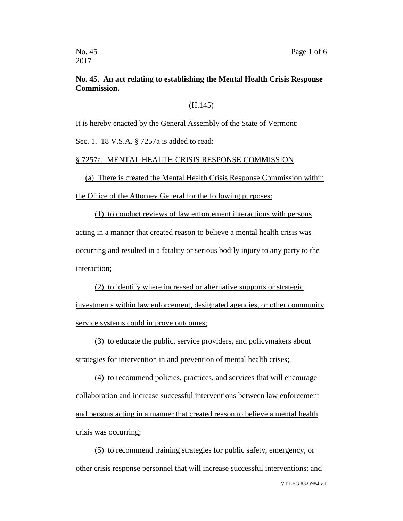2017

### **No. 45. An act relating to establishing the Mental Health Crisis Response Commission.**

(H.145)

It is hereby enacted by the General Assembly of the State of Vermont:

Sec. 1. 18 V.S.A. § 7257a is added to read:

#### § 7257a. MENTAL HEALTH CRISIS RESPONSE COMMISSION

(a) There is created the Mental Health Crisis Response Commission within

the Office of the Attorney General for the following purposes:

(1) to conduct reviews of law enforcement interactions with persons acting in a manner that created reason to believe a mental health crisis was occurring and resulted in a fatality or serious bodily injury to any party to the interaction;

(2) to identify where increased or alternative supports or strategic investments within law enforcement, designated agencies, or other community service systems could improve outcomes;

(3) to educate the public, service providers, and policymakers about strategies for intervention in and prevention of mental health crises;

(4) to recommend policies, practices, and services that will encourage collaboration and increase successful interventions between law enforcement and persons acting in a manner that created reason to believe a mental health crisis was occurring;

(5) to recommend training strategies for public safety, emergency, or other crisis response personnel that will increase successful interventions; and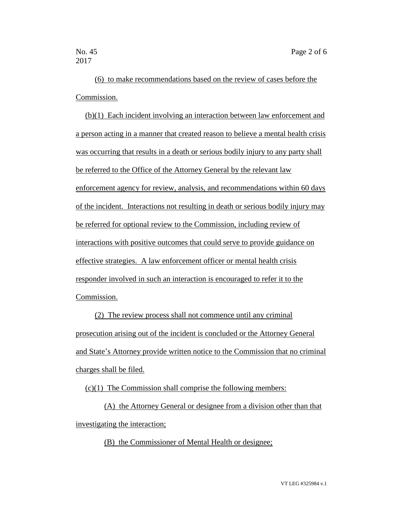(6) to make recommendations based on the review of cases before the Commission.

(b)(1) Each incident involving an interaction between law enforcement and a person acting in a manner that created reason to believe a mental health crisis was occurring that results in a death or serious bodily injury to any party shall be referred to the Office of the Attorney General by the relevant law enforcement agency for review, analysis, and recommendations within 60 days of the incident. Interactions not resulting in death or serious bodily injury may be referred for optional review to the Commission, including review of interactions with positive outcomes that could serve to provide guidance on effective strategies. A law enforcement officer or mental health crisis responder involved in such an interaction is encouraged to refer it to the Commission.

(2) The review process shall not commence until any criminal prosecution arising out of the incident is concluded or the Attorney General and State's Attorney provide written notice to the Commission that no criminal charges shall be filed.

 $(c)(1)$  The Commission shall comprise the following members:

(A) the Attorney General or designee from a division other than that investigating the interaction;

(B) the Commissioner of Mental Health or designee;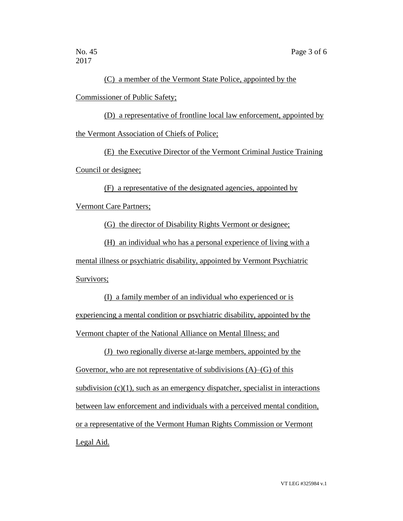### (C) a member of the Vermont State Police, appointed by the

Commissioner of Public Safety;

(D) a representative of frontline local law enforcement, appointed by the Vermont Association of Chiefs of Police;

(E) the Executive Director of the Vermont Criminal Justice Training Council or designee;

(F) a representative of the designated agencies, appointed by

Vermont Care Partners;

(G) the director of Disability Rights Vermont or designee;

(H) an individual who has a personal experience of living with a mental illness or psychiatric disability, appointed by Vermont Psychiatric Survivors;

(I) a family member of an individual who experienced or is experiencing a mental condition or psychiatric disability, appointed by the Vermont chapter of the National Alliance on Mental Illness; and

(J) two regionally diverse at-large members, appointed by the Governor, who are not representative of subdivisions  $(A)$ – $(G)$  of this subdivision  $(c)(1)$ , such as an emergency dispatcher, specialist in interactions between law enforcement and individuals with a perceived mental condition, or a representative of the Vermont Human Rights Commission or Vermont Legal Aid.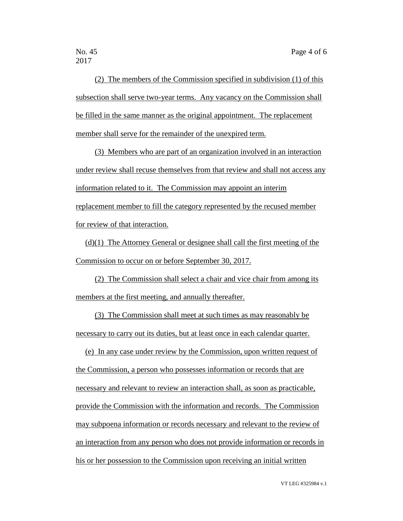2017

(2) The members of the Commission specified in subdivision (1) of this subsection shall serve two-year terms. Any vacancy on the Commission shall be filled in the same manner as the original appointment. The replacement member shall serve for the remainder of the unexpired term.

(3) Members who are part of an organization involved in an interaction under review shall recuse themselves from that review and shall not access any information related to it. The Commission may appoint an interim replacement member to fill the category represented by the recused member for review of that interaction.

(d)(1) The Attorney General or designee shall call the first meeting of the Commission to occur on or before September 30, 2017.

(2) The Commission shall select a chair and vice chair from among its members at the first meeting, and annually thereafter.

(3) The Commission shall meet at such times as may reasonably be necessary to carry out its duties, but at least once in each calendar quarter.

(e) In any case under review by the Commission, upon written request of the Commission, a person who possesses information or records that are necessary and relevant to review an interaction shall, as soon as practicable, provide the Commission with the information and records. The Commission may subpoena information or records necessary and relevant to the review of an interaction from any person who does not provide information or records in his or her possession to the Commission upon receiving an initial written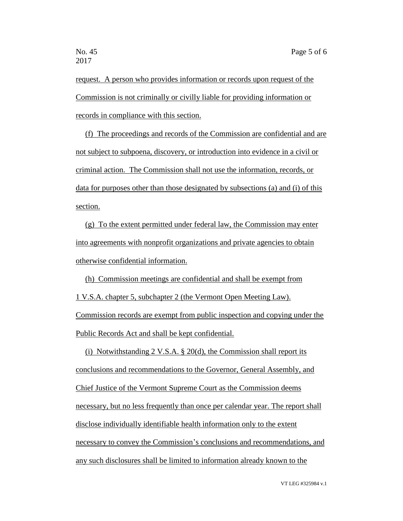request. A person who provides information or records upon request of the Commission is not criminally or civilly liable for providing information or records in compliance with this section.

(f) The proceedings and records of the Commission are confidential and are not subject to subpoena, discovery, or introduction into evidence in a civil or criminal action. The Commission shall not use the information, records, or data for purposes other than those designated by subsections (a) and (i) of this section.

(g) To the extent permitted under federal law, the Commission may enter into agreements with nonprofit organizations and private agencies to obtain otherwise confidential information.

(h) Commission meetings are confidential and shall be exempt from

1 V.S.A. chapter 5, subchapter 2 (the Vermont Open Meeting Law). Commission records are exempt from public inspection and copying under the Public Records Act and shall be kept confidential.

(i) Notwithstanding 2 V.S.A.  $\S 20(d)$ , the Commission shall report its conclusions and recommendations to the Governor, General Assembly, and Chief Justice of the Vermont Supreme Court as the Commission deems necessary, but no less frequently than once per calendar year. The report shall disclose individually identifiable health information only to the extent necessary to convey the Commission's conclusions and recommendations, and any such disclosures shall be limited to information already known to the